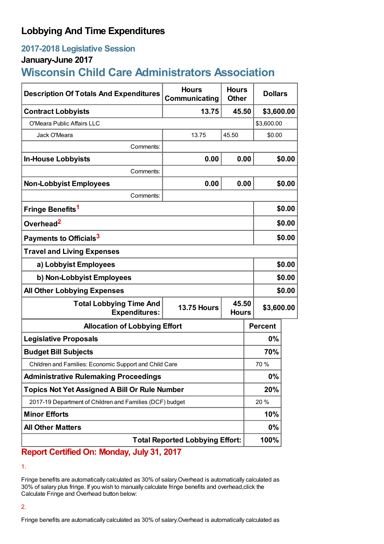## **Lobbying And Time Expenditures**

## **2017-2018 Legislative Session**

## **January-June 2017**

# **Wisconsin Child Care Administrators Association**

| <b>Description Of Totals And Expenditures</b>            | <b>Hours</b><br>Communicating | <b>Hours</b><br><b>Other</b> | <b>Dollars</b> |        |
|----------------------------------------------------------|-------------------------------|------------------------------|----------------|--------|
| <b>Contract Lobbyists</b>                                | 13.75                         | 45.50                        | \$3,600.00     |        |
| O'Meara Public Affairs LLC                               |                               |                              | \$3,600.00     |        |
| Jack O'Meara                                             | 13.75                         | 45.50                        | \$0.00         |        |
| Comments:                                                |                               |                              |                |        |
| <b>In-House Lobbyists</b>                                | 0.00                          | 0.00                         |                | \$0.00 |
| Comments:                                                |                               |                              |                |        |
| <b>Non-Lobbyist Employees</b>                            | 0.00                          | 0.00                         |                | \$0.00 |
| Comments:                                                |                               |                              |                |        |
| Fringe Benefits <sup>1</sup>                             |                               |                              |                | \$0.00 |
| Overhead <sup>2</sup>                                    |                               |                              |                | \$0.00 |
| Payments to Officials <sup>3</sup>                       |                               |                              |                | \$0.00 |
| <b>Travel and Living Expenses</b>                        |                               |                              |                |        |
| a) Lobbyist Employees                                    |                               |                              | \$0.00         |        |
| b) Non-Lobbyist Employees                                |                               |                              | \$0.00         |        |
| <b>All Other Lobbying Expenses</b>                       |                               |                              |                | \$0.00 |
| <b>Total Lobbying Time And</b><br><b>Expenditures:</b>   | <b>13.75 Hours</b>            | 45.50<br><b>Hours</b>        | \$3,600.00     |        |
| <b>Allocation of Lobbying Effort</b>                     |                               |                              | <b>Percent</b> |        |
| <b>Legislative Proposals</b>                             |                               |                              | 0%             |        |
| <b>Budget Bill Subjects</b>                              |                               |                              | 70%            |        |
| Children and Families: Economic Support and Child Care   |                               |                              | 70 %           |        |
| <b>Administrative Rulemaking Proceedings</b>             |                               |                              | 0%             |        |
| <b>Topics Not Yet Assigned A Bill Or Rule Number</b>     |                               |                              | 20%            |        |
| 2017-19 Department of Children and Families (DCF) budget |                               |                              | 20%            |        |
| <b>Minor Efforts</b>                                     |                               |                              | 10%            |        |
| <b>All Other Matters</b>                                 |                               |                              | 0%             |        |
| <b>Total Reported Lobbying Effort:</b>                   |                               |                              | 100%           |        |

### **Report Certified On: Monday, July 31, 2017**

1.

Fringe benefits are automatically calculated as 30% of salary.Overhead is automatically calculated as 30% of salary plus fringe. If you wish to manually calculate fringe benefits and overhead,click the Calculate Fringe and Overhead button below:

#### 2.

Fringe benefits are automatically calculated as 30% of salary.Overhead is automatically calculated as